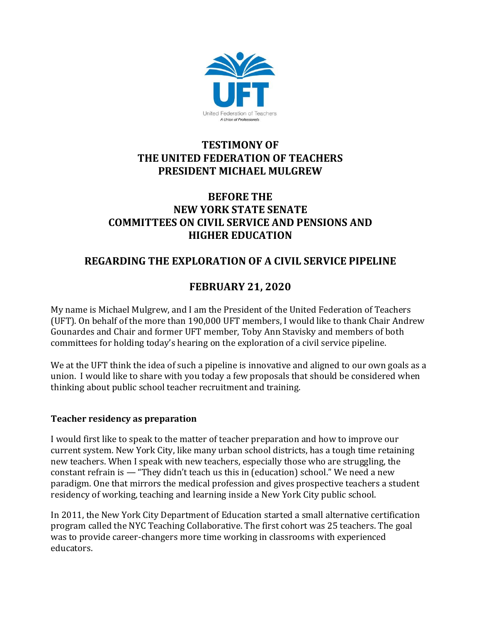

# **TESTIMONY OF THE UNITED FEDERATION OF TEACHERS PRESIDENT MICHAEL MULGREW**

## **BEFORE THE NEW YORK STATE SENATE COMMITTEES ON CIVIL SERVICE AND PENSIONS AND HIGHER EDUCATION**

## **REGARDING THE EXPLORATION OF A CIVIL SERVICE PIPELINE**

# **FEBRUARY 21, 2020**

My name is Michael Mulgrew, and I am the President of the United Federation of Teachers (UFT). On behalf of the more than 190,000 UFT members, I would like to thank Chair Andrew Gounardes and Chair and former UFT member, Toby Ann Stavisky and members of both committees for holding today's hearing on the exploration of a civil service pipeline.

We at the UFT think the idea of such a pipeline is innovative and aligned to our own goals as a union. I would like to share with you today a few proposals that should be considered when thinking about public school teacher recruitment and training.

#### **Teacher residency as preparation**

I would first like to speak to the matter of teacher preparation and how to improve our current system. New York City, like many urban school districts, has a tough time retaining new teachers. When I speak with new teachers, especially those who are struggling, the constant refrain is — "They didn't teach us this in (education) school." We need a new paradigm. One that mirrors the medical profession and gives prospective teachers a student residency of working, teaching and learning inside a New York City public school.

In 2011, the New York City Department of Education started a small alternative certification program called the NYC Teaching Collaborative. The first cohort was 25 teachers. The goal was to provide career-changers more time working in classrooms with experienced educators.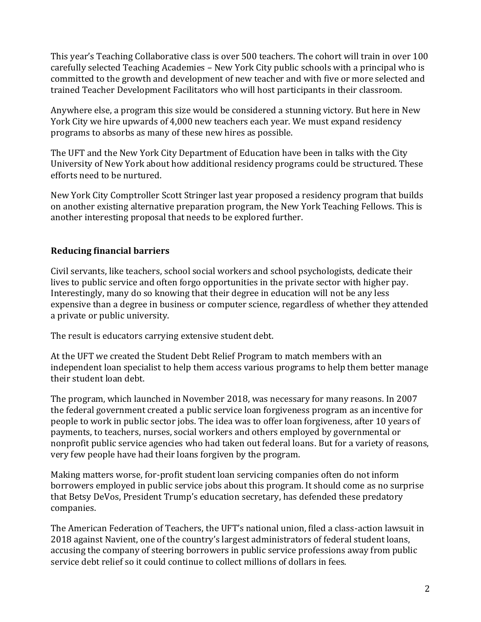This year's Teaching Collaborative class is over 500 teachers. The cohort will train in over 100 carefully selected Teaching Academies – New York City public schools with a principal who is committed to the growth and development of new teacher and with five or more selected and trained Teacher Development Facilitators who will host participants in their classroom.

Anywhere else, a program this size would be considered a stunning victory. But here in New York City we hire upwards of 4,000 new teachers each year. We must expand residency programs to absorbs as many of these new hires as possible.

The UFT and the New York City Department of Education have been in talks with the City University of New York about how additional residency programs could be structured. These efforts need to be nurtured.

New York City Comptroller Scott Stringer last year proposed a residency program that builds on another existing alternative preparation program, the New York Teaching Fellows. This is another interesting proposal that needs to be explored further.

## **Reducing financial barriers**

Civil servants, like teachers, school social workers and school psychologists, dedicate their lives to public service and often forgo opportunities in the private sector with higher pay. Interestingly, many do so knowing that their degree in education will not be any less expensive than a degree in business or computer science, regardless of whether they attended a private or public university.

The result is educators carrying extensive student debt.

At the UFT we created the Student Debt Relief Program to match members with an independent loan specialist to help them access various programs to help them better manage their student loan debt.

The program, which launched in November 2018, was necessary for many reasons. In 2007 the federal government created a public service loan forgiveness program as an incentive for people to work in public sector jobs. The idea was to offer loan forgiveness, after 10 years of payments, to teachers, nurses, social workers and others employed by governmental or nonprofit public service agencies who had taken out federal loans. But for a variety of reasons, very few people have had their loans forgiven by the program.

Making matters worse, for-profit student loan servicing companies often do not inform borrowers employed in public service jobs about this program. It should come as no surprise that Betsy DeVos, President Trump's education secretary, has defended these predatory companies.

The American Federation of Teachers, the UFT's national union, filed a class-action lawsuit in 2018 against Navient, one of the country's largest administrators of federal student loans, accusing the company of steering borrowers in public service professions away from public service debt relief so it could continue to collect millions of dollars in fees.